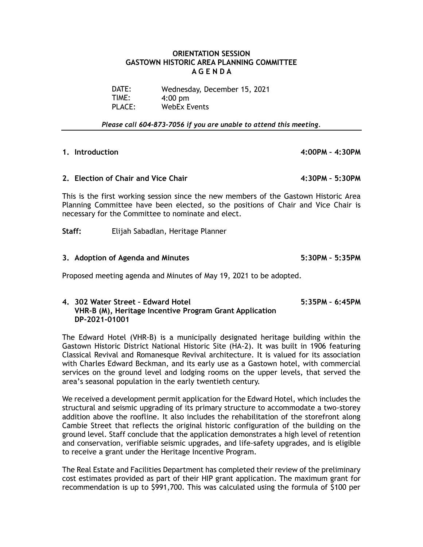### **ORIENTATION SESSION GASTOWN HISTORIC AREA PLANNING COMMITTEE A G E N D A**

DATE: TIME: PLACE: Wednesday, December 15, 2021 4:00 pm WebEx Events

*Please call 604-873-7056 if you are unable to attend this meeting.*

**1. Introduction 4:00PM – 4:30PM** 

**2. Election of Chair and Vice Chair 4:30PM – 5:30PM**

This is the first working session since the new members of the Gastown Historic Area Planning Committee have been elected, so the positions of Chair and Vice Chair is necessary for the Committee to nominate and elect.

**Staff:** Elijah Sabadlan, Heritage Planner

### **3. Adoption of Agenda and Minutes 5:30PM – 5:35PM**

Proposed meeting agenda and Minutes of May 19, 2021 to be adopted.

### **4. 302 Water Street – Edward Hotel 5:35PM – 6:45PM VHR-B (M), Heritage Incentive Program Grant Application DP-2021-01001**

The Edward Hotel (VHR-B) is a municipally designated heritage building within the Gastown Historic District National Historic Site (HA-2). It was built in 1906 featuring Classical Revival and Romanesque Revival architecture. It is valued for its association with Charles Edward Beckman, and its early use as a Gastown hotel, with commercial services on the ground level and lodging rooms on the upper levels, that served the area's seasonal population in the early twentieth century.

We received a development permit application for the Edward Hotel, which includes the structural and seismic upgrading of its primary structure to accommodate a two-storey addition above the roofline. It also includes the rehabilitation of the storefront along Cambie Street that reflects the original historic configuration of the building on the ground level. Staff conclude that the application demonstrates a high level of retention and conservation, verifiable seismic upgrades, and life-safety upgrades, and is eligible to receive a grant under the Heritage Incentive Program.

The Real Estate and Facilities Department has completed their review of the preliminary cost estimates provided as part of their HIP grant application. The maximum grant for recommendation is up to \$991,700. This was calculated using the formula of \$100 per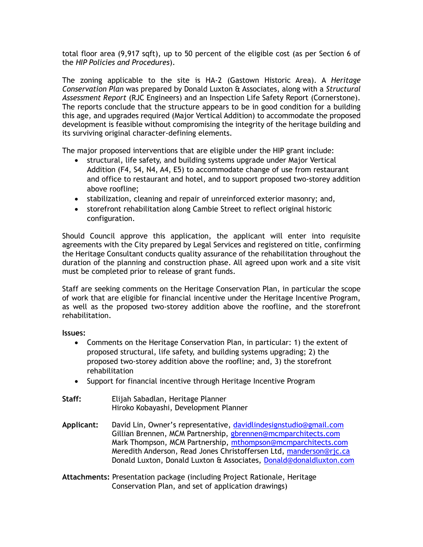total floor area (9,917 sqft), up to 50 percent of the eligible cost (as per Section 6 of the *HIP Policies and Procedures*).

The zoning applicable to the site is HA-2 (Gastown Historic Area). A *Heritage Conservation Plan* was prepared by Donald Luxton & Associates, along with a *Structural Assessment Report* (RJC Engineers) and an Inspection Life Safety Report (Cornerstone). The reports conclude that the structure appears to be in good condition for a building this age, and upgrades required (Major Vertical Addition) to accommodate the proposed development is feasible without compromising the integrity of the heritage building and its surviving original character-defining elements.

The major proposed interventions that are eligible under the HIP grant include:

- structural, life safety, and building systems upgrade under Major Vertical Addition (F4, S4, N4, A4, E5) to accommodate change of use from restaurant and office to restaurant and hotel, and to support proposed two-storey addition above roofline;
- stabilization, cleaning and repair of unreinforced exterior masonry; and,
- storefront rehabilitation along Cambie Street to reflect original historic configuration.

Should Council approve this application, the applicant will enter into requisite agreements with the City prepared by Legal Services and registered on title, confirming the Heritage Consultant conducts quality assurance of the rehabilitation throughout the duration of the planning and construction phase. All agreed upon work and a site visit must be completed prior to release of grant funds.

Staff are seeking comments on the Heritage Conservation Plan, in particular the scope of work that are eligible for financial incentive under the Heritage Incentive Program, as well as the proposed two-storey addition above the roofline, and the storefront rehabilitation.

**Issues:**

- Comments on the Heritage Conservation Plan, in particular: 1) the extent of proposed structural, life safety, and building systems upgrading; 2) the proposed two-storey addition above the roofline; and, 3) the storefront rehabilitation
- Support for financial incentive through Heritage Incentive Program
- **Staff:** Elijah Sabadlan, Heritage Planner Hiroko Kobayashi, Development Planner
- **Applicant:** David Lin, Owner's representative, [davidlindesignstudio@gmail.com](mailto:davidlindesignstudio@gmail.com) Gillian Brennen, MCM Partnership, [gbrennen@mcmparchitects.com](mailto:gbrennen@mcmparchitects.com) Mark Thompson, MCM Partnership, [mthompson@mcmparchitects.com](mailto:mthompson@mcmparchitects.com) Meredith Anderson, Read Jones Christoffersen Ltd, [manderson@rjc.ca](mailto:manderson@rjc.ca) Donald Luxton, Donald Luxton & Associates, [Donald@donaldluxton.com](mailto:Donald@donaldluxton.com)
- **Attachments:** Presentation package (including Project Rationale, Heritage Conservation Plan, and set of application drawings)